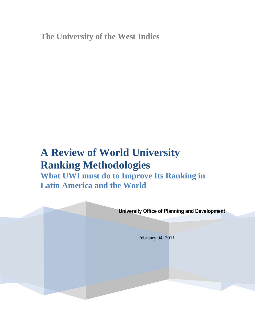**The University of the West Indies**

# **A Review of World University Ranking Methodologies**

**What UWI must do to Improve Its Ranking in Latin America and the World**

**University Office of Planning and Development**

February 04, 2011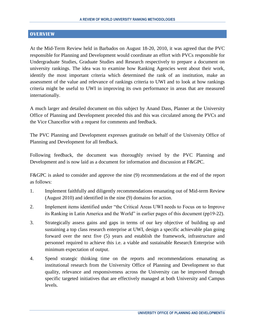#### **OVERVIEW**

At the Mid-Term Review held in Barbados on August 18-20, 2010, it was agreed that the PVC responsible for Planning and Development would coordinate an effort with PVCs responsible for Undergraduate Studies, Graduate Studies and Research respectively to prepare a document on university rankings. The idea was to examine how Ranking Agencies went about their work, identify the most important criteria which determined the rank of an institution, make an assessment of the value and relevance of rankings criteria to UWI and to look at how rankings criteria might be useful to UWI in improving its own performance in areas that are measured internationally.

A much larger and detailed document on this subject by Anand Dass, Planner at the University Office of Planning and Development preceded this and this was circulated among the PVCs and the Vice Chancellor with a request for comments and feedback.

The PVC Planning and Development expresses gratitude on behalf of the University Office of Planning and Development for all feedback.

Following feedback, the document was thoroughly revised by the PVC Planning and Development and is now laid as a document for information and discussion at F&GPC.

F&GPC is asked to consider and approve the nine (9) recommendations at the end of the report as follows:

- 1. Implement faithfully and diligently recommendations emanating out of Mid-term Review (August 2010) and identified in the nine (9) domains for action.
- 2. Implement items identified under "the Critical Areas UWI needs to Focus on to Improve its Ranking in Latin America and the World" in earlier pages of this document (pp19-22).
- 3. Strategically assess gains and gaps in terms of our key objective of building up and sustaining a top class research enterprise at UWI, design a specific achievable plan going forward over the next five (5) years and establish the framework, infrastructure and personnel required to achieve this i.e. a viable and sustainable Research Enterprise with minimum expectation of output.
- 4. Spend strategic thinking time on the reports and recommendations emanating as institutional research from the University Office of Planning and Development so that quality, relevance and responsiveness across the University can be improved through specific targeted initiatives that are effectively managed at both University and Campus levels.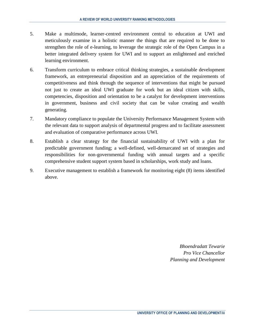- 5. Make a multimode, learner-centred environment central to education at UWI and meticulously examine in a holistic manner the things that are required to be done to strengthen the role of e-learning, to leverage the strategic role of the Open Campus in a better integrated delivery system for UWI and to support an enlightened and enriched learning environment.
- 6. Transform curriculum to embrace critical thinking strategies, a sustainable development framework, an entrepreneurial disposition and an appreciation of the requirements of competitiveness and think through the sequence of interventions that might be pursued not just to create an ideal UWI graduate for work but an ideal citizen with skills, competencies, disposition and orientation to be a catalyst for development interventions in government, business and civil society that can be value creating and wealth generating.
- 7. Mandatory compliance to populate the University Performance Management System with the relevant data to support analysis of departmental progress and to facilitate assessment and evaluation of comparative performance across UWI.
- 8. Establish a clear strategy for the financial sustainability of UWI with a plan for predictable government funding; a well-defined, well-demarcated set of strategies and responsibilities for non-governmental funding with annual targets and a specific comprehensive student support system based in scholarships, work study and loans.
- 9. Executive management to establish a framework for monitoring eight (8) items identified above.

*Bhoendradatt Tewarie Pro Vice Chancellor Planning and Development*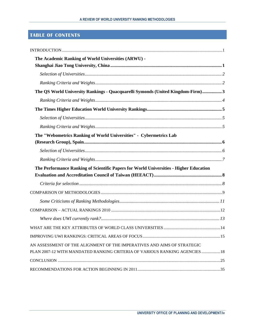# **TABLE OF CONTENTS**

| The Academic Ranking of World Universities (ARWU) -                                                                                                    |  |
|--------------------------------------------------------------------------------------------------------------------------------------------------------|--|
|                                                                                                                                                        |  |
|                                                                                                                                                        |  |
| The QS World University Rankings - Quacquarelli Symonds (United Kingdom-Firm)3                                                                         |  |
|                                                                                                                                                        |  |
|                                                                                                                                                        |  |
|                                                                                                                                                        |  |
|                                                                                                                                                        |  |
| The "Webometrics Ranking of World Universities" - Cybermetrics Lab                                                                                     |  |
|                                                                                                                                                        |  |
|                                                                                                                                                        |  |
| The Performance Ranking of Scientific Papers for World Universities - Higher Education                                                                 |  |
|                                                                                                                                                        |  |
|                                                                                                                                                        |  |
|                                                                                                                                                        |  |
|                                                                                                                                                        |  |
|                                                                                                                                                        |  |
|                                                                                                                                                        |  |
|                                                                                                                                                        |  |
| AN ASSESSMENT OF THE ALIGNMENT OF THE IMPERATIVES AND AIMS OF STRATEGIC<br>PLAN 2007-12 WITH MANDATED RANKING CRITERIA OF VARIOUS RANKING AGENCIES  18 |  |
|                                                                                                                                                        |  |
|                                                                                                                                                        |  |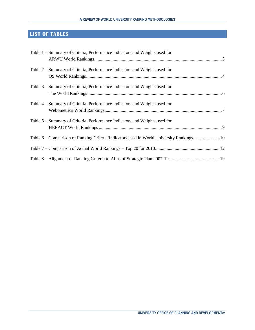# **LIST OF TABLES**

| Table 1 – Summary of Criteria, Performance Indicators and Weights used for                |  |
|-------------------------------------------------------------------------------------------|--|
| Table 2 – Summary of Criteria, Performance Indicators and Weights used for                |  |
| Table 3 – Summary of Criteria, Performance Indicators and Weights used for                |  |
| Table 4 – Summary of Criteria, Performance Indicators and Weights used for                |  |
| Table 5 – Summary of Criteria, Performance Indicators and Weights used for                |  |
| Table 6 - Comparison of Ranking Criteria/Indicators used in World University Rankings  10 |  |
|                                                                                           |  |
|                                                                                           |  |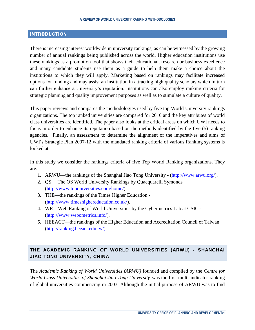#### <span id="page-5-0"></span>**INTRODUCTION**

There is increasing interest worldwide in university rankings, as can be witnessed by the growing number of annual rankings being published across the world. Higher education institutions use these rankings as a promotion tool that shows their educational, research or business excellence and many candidate students use them as a guide to help them make a choice about the institutions to which they will apply. Marketing based on rankings may facilitate increased options for funding and may assist an institution in attracting high quality scholars which in turn can further enhance a University's reputation. Institutions can also employ ranking criteria for strategic planning and quality improvement purposes as well as to stimulate a culture of quality.

This paper reviews and compares the methodologies used by five top World University rankings organizations. The top ranked universities are compared for 2010 and the key attributes of world class universities are identified. The paper also looks at the critical areas on which UWI needs to focus in order to enhance its reputation based on the methods identified by the five (5) ranking agencies. Finally, an assessment to determine the alignment of the imperatives and aims of UWI's Strategic Plan 2007-12 with the mandated ranking criteria of various Ranking systems is looked at.

In this study we consider the rankings criteria of five Top World Ranking organizations. They are:

- 1. ARWU—the rankings of the Shanghai Jiao Tong University (http://www.arwu.org/).
- 2. QS— The QS World University Rankings by [Quacquarelli Symonds](http://en.wikipedia.org/wiki/Quacquarelli_Symonds) (http://www.topuniversities.com/home/).
- 3. THE—the rankings of the Times Higher Education (http://www.timeshighereducation.co.uk/).
- 4. WR—Web Ranking of World Universities by the Cybermetrics Lab at CSIC (http://www.webometrics.info/).
- 5. HEEACT—the rankings of the Higher Education and Accreditation Council of Taiwan [\(http://ranking.heeact.edu.tw/\).](http://ranking.heeact.edu.tw/).)

# <span id="page-5-1"></span>**THE ACADEMIC RANKING OF WORLD UNIVERSITIES (ARWU) - SHANGHAI JIAO TONG UNIVERSITY, CHINA**

The *Academic Ranking of World Universities (ARWU)* founded and compiled by the *Centre for World Class Universities of Shanghai Jiao Tong University* was the first multi-indicator ranking of global universities commencing in 2003. Although the initial purpose of ARWU was to find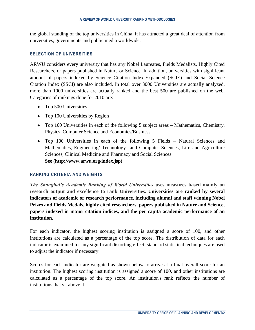the global standing of the top universities in China, it has attracted a great deal of attention from universities, governments and public media worldwide.

#### <span id="page-6-0"></span>**SELECTION OF UNIVERSITIES**

ARWU considers every university that has any Nobel Laureates, Fields Medalists, Highly Cited Researchers, or papers published in Nature or Science. In addition, universities with significant amount of papers indexed by Science Citation Index-Expanded (SCIE) and Social Science Citation Index (SSCI) are also included. In total over 3000 Universities are actually analyzed, more than 1000 universities are actually ranked and the best 500 are published on the web. Categories of rankings done for 2010 are:

- Top 500 Universities
- Top 100 Universities by Region
- Top 100 Universities in each of the following 5 subject areas Mathematics, Chemistry. Physics, Computer Science and Economics/Business
- Top 100 Universities in each of the following 5 Fields Natural Sciences and Mathematics, Engineering/ Technology and Computer Sciences, Life and Agriculture Sciences, Clinical Medicine and Pharmacy and Social Sciences **See (http://www.arwu.org/index.jsp)**

#### <span id="page-6-1"></span>**RANKING CRITERIA AND WEIGHTS**

*The Shanghai's Academic Ranking of World Universities* **uses measures based mainly on research output and excellence to rank Universities. Universities are ranked by several indicators of academic or research performance, including alumni and staff winning Nobel Prizes and Fields Medals, highly cited researchers, papers published in Nature and Science, papers indexed in major citation indices, and the per capita academic performance of an institution.**

For each indicator, the highest scoring institution is assigned a score of 100, and other institutions are calculated as a percentage of the top score. The distribution of data for each indicator is examined for any significant distorting effect; standard statistical techniques are used to adjust the indicator if necessary.

Scores for each indicator are weighted as shown below to arrive at a final overall score for an institution. The highest scoring institution is assigned a score of 100, and other institutions are calculated as a percentage of the top score. An institution's rank reflects the number of institutions that sit above it.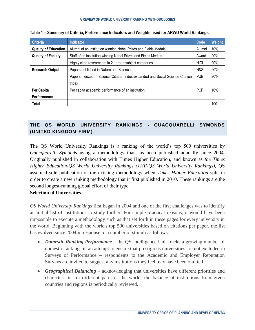| <b>Criteria</b>             | <b>Indicator</b>                                                              | Code       | Weight     |
|-----------------------------|-------------------------------------------------------------------------------|------------|------------|
| <b>Quality of Education</b> | Alumni                                                                        | 10%        |            |
| <b>Quality of Faculty</b>   | Award                                                                         | 20%        |            |
|                             | Highly cited researchers in 21 broad subject categories                       | HiCi       | 20%        |
| <b>Research Output</b>      | Papers published in Nature and Science                                        | N&S        | <b>20%</b> |
|                             | Papers indexed in Science Citation Index-expanded and Social Science Citation | <b>PUB</b> | 20%        |
|                             | Index                                                                         |            |            |
| Per Capita                  | Per capita academic performance of an institution                             | <b>PCP</b> | 10%        |
| Performance                 |                                                                               |            |            |
| Total                       |                                                                               |            | 100        |

<span id="page-7-1"></span>

# <span id="page-7-0"></span>**THE QS WORLD UNIVERSITY RANKINGS - QUACQUARELLI SYMONDS (UNITED KINGDOM-FIRM)**

The QS World University Rankings is a ranking of the world's top 500 universities by *[Quacquarelli Symonds](http://en.wikipedia.org/wiki/Quacquarelli_Symonds)* using a methodology that has been published annually since 2004. Originally published in collaboration with [Times Higher Education,](http://en.wikipedia.org/wiki/Times_Higher_Education) and known as *the Times Higher Education-QS World University Rankings (THE-QS World University Rankings)*, QS assumed sole publication of the existing methodology when *Times Higher Education* split in order to create a new ranking methodology that it first published in 2010. These rankings are the second longest-running global effort of their type.

# **Selection of Universities**

*QS World University Rankings* first began in 2004 and one of the first challenges was to identify an initial list of institutions to study further. For simple practical reasons, it would have been impossible to execute a methodology such as that set forth in these pages for every university in the world. Beginning with the world's top 500 universities based on citations per paper, the list has evolved since 2004 in response to a number of stimuli as follows:

- *Domestic Ranking Performance* the QS Intelligence Unit tracks a growing number of domestic rankings in an attempt to ensure that prestigious universities are not excluded in Surveys of Performance – respondents to the Academic and Employer Reputation Surveys are invited to suggest any institutions they feel may have been omitted.
- *Geographical Balancing* acknowledging that universities have different priorities and characteristics in different parts of the world, the balance of institutions from given countries and regions is periodically reviewed.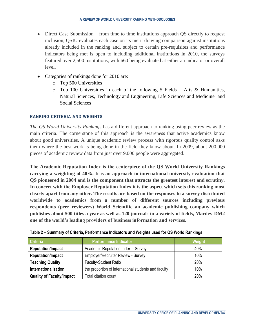- Direct Case Submission from time to time institutions approach QS directly to request inclusion, QSIU evaluates each case on its merit drawing comparison against institutions already included in the ranking and, subject to certain pre-requisites and performance indicators being met is open to including additional institutions In 2010, the surveys featured over 2,500 institutions, with 660 being evaluated at either an indicator or overall level.
- Categories of rankings done for 2010 are:
	- o Top 500 Universities
	- $\circ$  Top 100 Universities in each of the following 5 Fields Arts & Humanities, Natural Sciences, Technology and Engineering, Life Sciences and Medicine and Social Sciences

#### <span id="page-8-0"></span>**RANKING CRITERIA AND WEIGHTS**

*The QS World University Rankings* has a different approach to ranking using peer review as the main criteria. The cornerstone of this approach is the awareness that active academics know about good universities. A unique academic review process with rigorous quality control asks them where the best work is being done in the field they know about. In 2009, about 200,000 pieces of academic review data from just over 9,000 people were aggregated.

**The Academic Reputation Index is the centerpiece of the QS World University Rankings carrying a weighting of 40%. It is an approach to international university evaluation that QS pioneered in 2004 and is the component that attracts the greatest interest and scrutiny. In concert with the Employer Reputation Index it is the aspect which sets this ranking most clearly apart from any other. The results are based on the responses to a survey distributed worldwide to academics from a number of different sources including previous respondents (peer reviewers) World Scientific an academic publishing company which publishes about 500 titles a year as well as 120 journals in a variety of fields, Mardev-DM2 one of the world's leading providers of business information and services.**

| <b>Criteria</b>                  | <b>Performance Indicator</b>                         | Weight |  |  |
|----------------------------------|------------------------------------------------------|--------|--|--|
| <b>Reputation/Impact</b>         | Academic Reputation Index - Survey                   |        |  |  |
| <b>Reputation/Impact</b>         | <b>Employer/Recruiter Review - Survey</b>            | 10%    |  |  |
| <b>Teaching Quality</b>          | <b>Faculty-Student Ratio</b>                         | 20%    |  |  |
| Internationalization             | the proportion of international students and faculty | 10%    |  |  |
| <b>Quality of Faculty/Impact</b> | Total citation count                                 | 20%    |  |  |

#### <span id="page-8-1"></span>**Table 2 – Summary of Criteria, Performance Indicators and Weights used for QS World Rankings**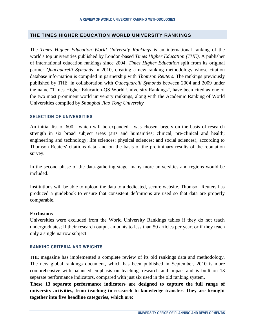#### <span id="page-9-0"></span>**THE TIMES HIGHER EDUCATION WORLD UNIVERSITY RANKINGS**

The *Times Higher Education World University Rankings* is an international ranking of the world's top universities published by London-based *[Times Higher Education](http://en.wikipedia.org/wiki/Times_Higher_Education) (THE)*. A publisher of international education rankings since 2004, *Times Higher Education* split from its original partner *Quacquarelli Symonds* in 2010, creating a new ranking methodology whose citation database information is compiled in partnership with *[Thomson Reuters.](http://en.wikipedia.org/wiki/Thomson_Reuters)* The rankings previously published by THE, in collaboration with *[Quacquarelli Symonds](http://en.wikipedia.org/wiki/Quacquarelli_Symonds)* between 2004 and 2009 under the name "Times Higher Education-QS World University Rankings", have been cited as one of the two most prominent world university rankings, along with the [Academic Ranking of World](http://en.wikipedia.org/wiki/Academic_Ranking_of_World_Universities)  [Universities](http://en.wikipedia.org/wiki/Academic_Ranking_of_World_Universities) compiled by *[Shanghai Jiao Tong University](http://en.wikipedia.org/wiki/Shanghai_Jiao_Tong_University)*

#### <span id="page-9-1"></span>**SELECTION OF UNIVERSITIES**

An initial list of 600 - which will be expanded - was chosen largely on the basis of research strength in six broad subject areas (arts and humanities; clinical, pre-clinical and health; engineering and technology; life sciences; physical sciences; and social sciences), according to Thomson Reuters' citations data, and on the basis of the preliminary results of the reputation survey.

In the second phase of the data-gathering stage, many more universities and regions would be included.

Institutions will be able to upload the data to a dedicated, secure website. Thomson Reuters has produced a guidebook to ensure that consistent definitions are used so that data are properly comparable.

#### **Exclusions**

Universities were excluded from the World University Rankings tables if they do not teach undergraduates; if their research output amounts to less than 50 articles per year; or if they teach only a single narrow subject.

#### <span id="page-9-2"></span>**RANKING CRITERIA AND WEIGHTS**

THE magazine has implemented a complete review of its old rankings data and methodology. The new global rankings document, which has been published in September, 2010 is more comprehensive with balanced emphasis on teaching, research and impact and is built on 13 separate performance indicators, compared with just six used in the old ranking system.

**These [13 separate performance indicators](http://www.timeshighereducation.co.uk/world-university-rankings/2010-2011/analysis-methodology.html) are designed to capture the full range of university activities, from teaching to research to knowledge transfer. They are brought together into five headline categories, which are:**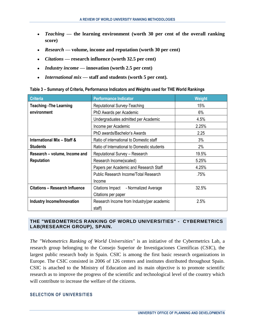- *Teaching* **— the learning environment (worth 30 per cent of the overall ranking score)**
- *Research* **— volume, income and reputation (worth 30 per cent)**
- *Citations* **— research influence (worth 32.5 per cent)**
- *Industry income* **— innovation (worth 2.5 per cent)**
- *International mix* **— staff and students (worth 5 per cent).**

<span id="page-10-2"></span>

| Table 3 - Summary of Criteria, Performance Indicators and Weights used for THE World Rankings |  |  |  |  |
|-----------------------------------------------------------------------------------------------|--|--|--|--|
|                                                                                               |  |  |  |  |

| <b>Criteria</b>                        | <b>Performance Indicator</b>                | Weight |
|----------------------------------------|---------------------------------------------|--------|
| <b>Teaching - The Learning</b>         | Reputational Survey-Teaching                | 15%    |
| environment                            | PhD Awards per Academic                     | 6%     |
|                                        | Undergraduates admitted per Academic        | 4.5%   |
|                                        | Income per Academic                         | 2.25%  |
|                                        | PhD awards/Bachelor's Awards                | 2.25   |
| <b>International Mix - Staff &amp;</b> | Ratio of international to Domestic staff    | 3%     |
| <b>Students</b>                        | Ratio of International to Domestic students | 2%     |
| Research - volume, Income and          | <b>Reputational Survey - Research</b>       | 19.5%  |
| <b>Reputation</b>                      | Research Income(scaled)                     | 5.25%  |
|                                        | Papers per Academic and Research Staff      | 4.25%  |
|                                        | Public Research Income/Total Research       | .75%   |
|                                        | Income                                      |        |
| <b>Citations - Research Influence</b>  | Citations Impact - Normalized Average       | 32.5%  |
|                                        | Citations per paper                         |        |
| <b>Industry Income/Innovation</b>      | Research Income from Industry (per academic | 2.5%   |
|                                        | staff)                                      |        |

#### <span id="page-10-0"></span>**THE "WEBOMETRICS RANKING OF WORLD UNIVERSITIES" - CYBERMETRICS LAB(RESEARCH GROUP), SPAIN.**

*The "Webometrics Ranking of World Universities"* is an initiative of the Cybermetrics Lab, a research group belonging to the Consejo Superior de Investigaciones Científicas (CSIC), the largest public research body in Spain. [CSIC](http://www.csic.es/index.do?lengua=en) is among the first basic research organizations in Europe. The CSIC consisted in 2006 of 126 centers and institutes distributed throughout Spain. CSIC is attached to the Ministry of Education and its main objective is to promote scientific research as to improve the progress of the scientific and technological level of the country which will contribute to increase the welfare of the citizens.

#### <span id="page-10-1"></span>**SELECTION OF UNIVERSITIES**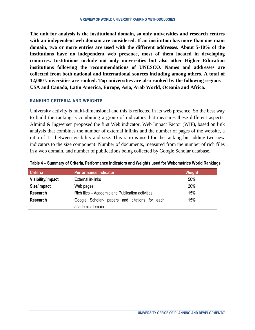**The unit for analysis is the institutional domain, so only universities and research centres with an independent web domain are considered. If an institution has more than one main domain, two or more entries are used with the different addresses. About 5-10% of the institutions have no independent web presence, most of them located in developing countries. Institutions include not only universities but also other Higher Education institutions following the recommendations of UNESCO. Names and addresses are collected from both national and international sources including among others. A total of 12,000 Universities are ranked. Top universities are also ranked by the following regions – USA and Canada, Latin America, Europe, Asia, Arab World, Oceania and Africa.**

#### <span id="page-11-0"></span>**RANKING CRITERIA AND WEIGHTS**

University activity is multi-dimensional and this is reflected in its web presence. So the best way to build the ranking is combining a group of indicators that measures these different aspects. Almind & Ingwersen proposed the first Web indicator, Web Impact Factor (WIF), based on link analysis that combines the number of external inlinks and the number of pages of the website, a ratio of 1:1 between visibility and size. This ratio is used for the ranking but adding two new indicators to the size component: Number of documents, measured from the number of rich files in a web domain, and number of publications being collected by Google Scholar database.

| <b>Criteria</b>          | <b>Performance Indicator</b>                     | Weight |
|--------------------------|--------------------------------------------------|--------|
| <b>Visibility/Impact</b> | External in-links                                | 50%    |
| Size/Impact              | Web pages                                        | 20%    |
| <b>Research</b>          | Rich files – Academic and Publication activities | 15%    |
| <b>Research</b>          | Google Scholar- papers and citations for each    | 15%    |
|                          | academic domain                                  |        |

<span id="page-11-1"></span>**Table 4 – Summary of Criteria, Performance Indicators and Weights used for Webometrics World Rankings**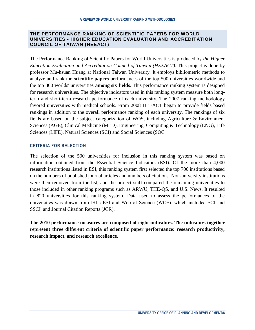#### <span id="page-12-0"></span>**THE PERFORMANCE RANKING OF SCIENTIFIC PAPERS FOR WORLD UNIVERSITIES - HIGHER EDUCATION EVALUATION AND ACCREDITATION COUNCIL OF TAIWAN (HEEACT)**

The Performance Ranking of Scientific Papers for World Universities is produced by *the Higher Education Evaluation and Accreditation Council of Taiwan (HEEACT)*. This project is done by professor Mu-hsuan Huang at National Taiwan University. It employs bibliometric methods to analyze and rank the **scientific papers** performances of the top 500 universities worldwide and the top 300 worlds' universities **among six fields**. This performance ranking system is designed for research universities. The objective indicators used in this ranking system measure both longterm and short-term research performance of each university. The 2007 ranking methodology favored universities with medical schools. From 2008 HEEACT began to provide fields based rankings in addition to the overall performance ranking of each university. The rankings of six fields are based on the subject categorization of WOS, including Agriculture & Environment Sciences (AGE), Clinical Medicine (MED), Engineering, Computing & Technology (ENG), Life Sciences (LIFE), Natural Sciences (SCI) and Social Sciences (SOC

#### <span id="page-12-1"></span>**CRITERIA FOR SELECTION**

The selection of the 500 universities for inclusion in this ranking system was based on information obtained from the Essential Science Indicators (ESI). Of the more than 4,000 research institutions listed in ESI, this ranking system first selected the top 700 institutions based on the numbers of published journal articles and numbers of citations. Non-university institutions were then removed from the list, and the project staff compared the remaining universities to those included in other ranking programs such as ARWU, THE-QS, and U.S. News. It resulted in 820 universities for this ranking system. Data used to assess the performances of the universities was drawn from ISI's ESI and Web of Science (WOS), which included SCI and SSCI, and Journal Citation Reports (JCR).

**The 2010 performance measures are composed of eight indicators. The indicators together represent three different criteria of scientific paper performance: research productivity, research impact, and research excellence.**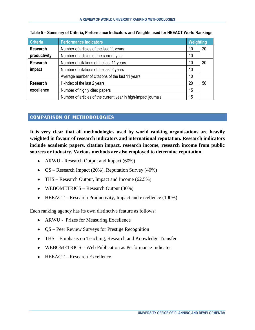| <b>Criteria</b> | <b>Performance Indicators</b>                                  |    |    |  |  |
|-----------------|----------------------------------------------------------------|----|----|--|--|
| <b>Research</b> | Number of articles of the last 11 years                        | 10 | 20 |  |  |
| productivity    | Number of articles of the current year                         | 10 |    |  |  |
| <b>Research</b> | Number of citations of the last 11 years                       | 10 | 30 |  |  |
| impact          | Number of citations of the last 2 years                        | 10 |    |  |  |
|                 | Average number of citations of the last 11 years               | 10 |    |  |  |
| <b>Research</b> | H-index of the last 2 years                                    | 20 | 50 |  |  |
| excellence      | Number of highly cited papers                                  | 15 |    |  |  |
|                 | Number of articles of the current year in high-impact journals | 15 |    |  |  |

<span id="page-13-1"></span>

| Table 5 - Summary of Criteria, Performance Indicators and Weights used for HEEACT World Rankings |  |  |  |  |
|--------------------------------------------------------------------------------------------------|--|--|--|--|
|                                                                                                  |  |  |  |  |

# <span id="page-13-0"></span>**COMPARISON OF METHODOLOGIES**

**It is very clear that all methodologies used by world ranking organisations are heavily weighted in favour of research indicators and international reputation. Research indicators include academic papers, citation impact, research income, research income from public sources or industry. Various methods are also employed to determine reputation.**

- ARWU Research Output and Impact (60%)
- $QS Research Impact (20\%)$ , Reputation Survey (40%)
- THS Research Output, Impact and Income (62.5%)
- WEBOMETRICS Research Output (30%)
- HEEACT Research Productivity, Impact and excellence (100%)

Each ranking agency has its own distinctive feature as follows:

- ARWU Prizes for Measuring Excellence
- QS Peer Review Surveys for Prestige Recognition
- THS Emphasis on Teaching, Research and Knowledge Transfer
- WEBOMETRICS Web Publication as Performance Indicator
- HEEACT Research Excellence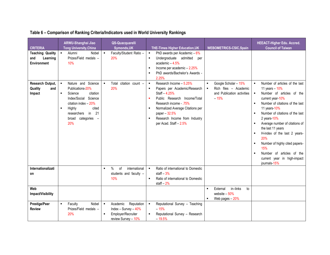<span id="page-14-0"></span>

| <b>CRITERIA</b>                                           | ARWU-Shanghai Jiao<br><b>Tong University, China</b>                                                                                                                                                 | <b>QS-Quacquarelli</b><br>Symonds, UK                                                                              | <b>THE-Times Higher Education, UK</b>                                                                                                                                                                                                                                                               | <b>WEBOMETRICS-CSIC,Spain</b>                                                                                             | <b>HEEACT-Higher Edu. Accred.</b><br><b>Council of Taiwan</b>                                                                                                                                                                                                                                                                                                                                                                                |
|-----------------------------------------------------------|-----------------------------------------------------------------------------------------------------------------------------------------------------------------------------------------------------|--------------------------------------------------------------------------------------------------------------------|-----------------------------------------------------------------------------------------------------------------------------------------------------------------------------------------------------------------------------------------------------------------------------------------------------|---------------------------------------------------------------------------------------------------------------------------|----------------------------------------------------------------------------------------------------------------------------------------------------------------------------------------------------------------------------------------------------------------------------------------------------------------------------------------------------------------------------------------------------------------------------------------------|
| <b>Teaching Quality</b><br>Learning<br>and<br>Environment | Alumni<br>Nobel<br>$\bullet$ .<br>Prizes/Field medals -<br>10%                                                                                                                                      | Faculty/Student Ratio -<br>$\blacksquare$<br>20%                                                                   | PhD awards per Academic $-6\%$<br>$\blacksquare$<br>Undergraduate admitted<br>$\blacksquare$<br>per<br>academic $-4.5%$<br>Income per academic - 2.25%<br>$\blacksquare$<br>PhD awards/Bachelor's Awards -<br>$\blacksquare$<br>2.25%                                                               |                                                                                                                           |                                                                                                                                                                                                                                                                                                                                                                                                                                              |
| Research Output,<br>Quality<br>and<br>Impact              | Nature and Science<br>Publications 20%<br>Science<br>citation<br>٠<br>Science<br>Index/Social<br>citation index - 20%<br>Highly<br>cited<br>in<br>21<br>researchers<br>categories -<br>broad<br>20% | citation count -<br>$\blacksquare$<br>Total<br>20%                                                                 | Research Income - 5.25%<br>$\blacksquare$<br>Papers per Academic/Research<br>$\blacksquare$<br>Staff-4.25%<br>Public Research Income/Total<br>×<br>Research income - .75%<br>Normalized Average Citations per<br>٠<br>paper - 32.5%<br>Research Income from Industry<br>л<br>per Acad. Staff - 2.5% | Google Scholar - 15%<br>$\blacksquare$<br>Rich files - Academic<br>$\blacksquare$<br>and Publication activities<br>$-15%$ | Number of articles of the last<br>$\blacksquare$<br>11 years $-10%$<br>Number of articles of the<br>current year-10%<br>Number of citations of the last<br>11 years-10%<br>Number of citations of the last<br>2 years 10%<br>Average number of citations of<br>the last 11 years<br>H-index of the last 2 years-<br>20%<br>Number of highly cited papers-<br>15%<br>Number of articles of the<br>current year in high-impact<br>journals-15% |
| Internationalizati<br>on                                  |                                                                                                                                                                                                     | $\%$<br>of<br>international<br>$\blacksquare$<br>students and faculty -<br>10%                                     | Ratio of international to Domestic<br>$\blacksquare$<br>staff $-3%$<br>$\blacksquare$<br>Ratio of international to Domestic<br>staff $-2%$                                                                                                                                                          |                                                                                                                           |                                                                                                                                                                                                                                                                                                                                                                                                                                              |
| Web<br>Impact/Visibility                                  |                                                                                                                                                                                                     |                                                                                                                    |                                                                                                                                                                                                                                                                                                     | in-links<br>External<br>to<br>$\blacksquare$<br>website $-50%$<br>Web pages $-20%$<br>٠                                   |                                                                                                                                                                                                                                                                                                                                                                                                                                              |
| <b>Prestige/Peer</b><br><b>Review</b>                     | Nobel<br>Faculty<br>$\blacksquare$<br>Prizes/Field medals -<br>20%                                                                                                                                  | $\blacksquare$<br>Academic<br>Reputation<br>Index - Survey - 40%<br>Employer/Recruiter<br>п<br>review Survey - 10% | $\blacksquare$<br>Reputational Survey - Teaching<br>$-15%$<br>Reputational Survey - Research<br>$-19.5%$                                                                                                                                                                                            |                                                                                                                           |                                                                                                                                                                                                                                                                                                                                                                                                                                              |

# **Table 6 – Comparison of Ranking Criteria/Indicators used in World University Rankings**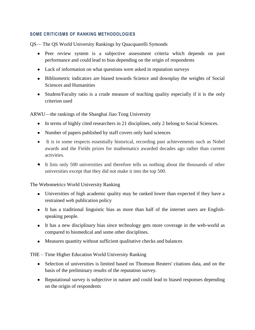### <span id="page-15-0"></span>**SOME CRITICISMS OF RANKING METHODOLOGIES**

QS— The QS World University Rankings by [Quacquarelli Symonds](http://en.wikipedia.org/wiki/Quacquarelli_Symonds)

- Peer review system is a subjective assessment criteria which depends on past performance and could lead to bias depending on the origin of respondents
- Lack of information on what questions were asked in reputation surveys
- Bibliometric indicators are biased towards Science and downplay the weights of Social Sciences and Humanities
- Student/Faculty ratio is a crude measure of teaching quality especially if it is the only criterion used

ARWU—the rankings of the Shanghai Jiao Tong University

- In terms of highly cited researchers in 21 disciplines, only 2 belong to Social Sciences.
- Number of papers published by staff covers only hard sciences
- It is in some respects essentially historical, recording past achievements such as Nobel awards and the Fields prizes for mathematics awarded decades ago rather than current activities.
- It lists only 500 universities and therefore tells us nothing about the thousands of other universities except that they did not make it into the top 500.

The Webometrics World University Ranking

- Universities of high academic quality may be ranked lower than expected if they have a restrained web publication policy
- It has a traditional linguistic bias as more than half of the internet users are Englishspeaking people.
- It has a new disciplinary bias since technology gets more coverage in the web-world as compared to biomedical and some other disciplines.
- Measures quantity without sufficient qualitative checks and balances

THE – Time Higher Education World University Ranking

- Selection of universities is limited based on Thomson Reuters' citations data, and on the basis of the preliminary results of the reputation survey.
- Reputational survey is subjective in nature and could lead to biased responses depending on the origin of respondents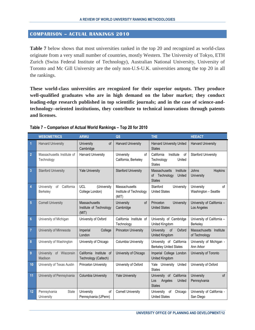#### <span id="page-16-0"></span>**COMPARISON – ACTUAL RANKINGS 2010**

**Table 7** below shows that most universities ranked in the top 20 and recognized as world-class originate from a very small number of countries, mostly Western. The University of Tokyo, ETH Zurich (Swiss Federal Institute of Technology), Australian National University, University of Toronto and Mc Gill University are the only non-U.S-U.K. universities among the top 20 in all the rankings.

**These world-class universities are recognized for their superior outputs. They produce well-qualified graduates who are in high demand on the labor market; they conduct leading-edge research published in top scientific journals; and in the case of science-andtechnology–oriented institutions, they contribute to technical innovations through patents and licenses.**

|                | <b>WEBOMETRICS</b>                                | <b>ARWU</b>                                       | QS                                                | <b>THE</b>                                                             | <b>HEEACT</b>                                      |
|----------------|---------------------------------------------------|---------------------------------------------------|---------------------------------------------------|------------------------------------------------------------------------|----------------------------------------------------|
|                | <b>Harvard University</b>                         | of<br>University<br>Cambridge                     | <b>Harvard University</b>                         | <b>Harvard University United</b><br><b>States</b>                      | <b>Harvard University</b>                          |
| $\overline{2}$ | Massachusetts Institute of<br>Technology          | <b>Harvard University</b>                         | University<br>of<br>California, Berkeley          | California<br>Institute<br>of<br>Technology<br>United<br><b>States</b> | <b>Stanford University</b>                         |
| 3              | <b>Stanford University</b>                        | <b>Yale University</b>                            | <b>Stanford University</b>                        | Massachusetts<br>Institute<br>of Technology<br>United<br><b>States</b> | Johns<br>Hopkins<br><b>University</b>              |
| 4              | California<br>University<br>of<br><b>Berkeley</b> | <b>UCL</b><br>(University<br>College London)      | Massachusetts<br>Institute of Technology<br>(MIT) | Stanford<br>University<br><b>United States</b>                         | University<br>of<br>Washington - Seattle           |
| 5              | <b>Cornell University</b>                         | Massachusetts<br>Institute of Technology<br>(MIT) | University<br>of<br>Cambridge                     | Princeton<br>University<br><b>United States</b>                        | University of California -<br>Los Angeles          |
| $6\phantom{a}$ | University of Michigan                            | University of Oxford                              | California Institute of<br>Technology             | University of Cambridge<br>United Kingdom                              | University of California -<br>Berkeley             |
| $\overline{7}$ | University of Minnesota                           | Imperial<br>College<br>London                     | <b>Princeton University</b>                       | University<br>of<br>Oxford<br>United Kingdom                           | <b>Massachusetts</b><br>Institute<br>of Technology |
| 8              | University of Washington                          | University of Chicago                             | Columbia University                               | University of California<br><b>Berkeley United States</b>              | University of Michigan -<br>Ann Arbor              |
| $\overline{9}$ | University<br>of Wisconsin<br>Madison             | California Institute of<br>Technology (Caltech)   | University of Chicago                             | Imperial College London<br><b>United Kingdom</b>                       | University of Toronto                              |
| 10             | University of Texas Austin                        | Princeton University                              | University of Oxford                              | Yale University<br>United<br><b>States</b>                             | University of Oxford                               |
| 11             | University of Pennsylvania                        | <b>Columbia University</b>                        | <b>Yale University</b>                            | University of California<br>Angeles<br>United<br>Los<br><b>States</b>  | <b>University</b><br>of<br>Pennsylvania            |
| 12             | Pennsylvania<br><b>State</b><br>University        | University<br>of<br>Pennsylvania (UPenn)          | <b>Cornell University</b>                         | University<br>of<br>Chicago<br><b>United States</b>                    | University of California -<br>San Diego            |

#### <span id="page-16-1"></span>**Table 7 – Comparison of Actual World Rankings – Top 20 for 2010**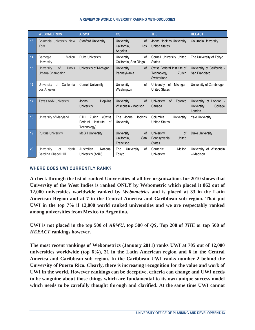|    | <b>WEBOMETRICS</b>                                             | <b>ARWU</b>                                                                 | QS                                                         | <b>THE</b>                                                        | <b>HEEACT</b>                                                |
|----|----------------------------------------------------------------|-----------------------------------------------------------------------------|------------------------------------------------------------|-------------------------------------------------------------------|--------------------------------------------------------------|
| 13 | Columbia University New<br>York                                | <b>Stanford University</b>                                                  | of<br>University<br>California,<br>Los<br>Angeles          | Johns Hopkins University<br><b>United States</b>                  | Columbia University                                          |
| 14 | Mellon<br>Carnegie<br>University                               | Duke University                                                             | University<br>of<br>California, San Diego                  | Cornell University United<br><b>States</b>                        | The University of Tokyo                                      |
| 15 | <b>University</b><br>of<br><b>Illinois</b><br>Urbana Champaign | University of Michigan                                                      | University<br>of<br>Pennsylvania                           | Swiss Federal Institute of<br>Technology<br>Zurich<br>Switzerland | University of California -<br>San Francisco                  |
| 16 | California<br>University<br>οf<br>Los Angeles                  | <b>Cornell University</b>                                                   | University<br>οf<br>Washington                             | University<br>Michigan<br>of<br><b>United States</b>              | University of Cambridge                                      |
| 17 | <b>Texas A&amp;M University</b>                                | Johns<br><b>Hopkins</b><br>University                                       | University<br>of<br>Wisconsin - Madison                    | University<br>Toronto<br><b>of</b><br>Canada                      | University of<br>London -<br>University<br>College<br>London |
| 18 | University of Maryland                                         | (Swiss<br><b>ETH</b><br>Zurich<br>Institute<br>of<br>Federal<br>Technology) | Johns<br>Hopkins<br>The<br>University                      | Columbia<br>University<br><b>United States</b>                    | <b>Yale University</b>                                       |
| 19 | <b>Purdue University</b>                                       | <b>McGill University</b>                                                    | <b>of</b><br>University<br>California.<br>San<br>Francisco | University<br>of<br>Pennsylvania<br>United<br><b>States</b>       | <b>Duke University</b>                                       |
| 20 | University<br>of<br>North<br>Carolina Chapel Hill              | Australian<br>National<br>University (ANU)                                  | The<br>University<br>οf<br>Tokyo                           | Carnegie<br>Mellon<br>University                                  | University of Wisconsin<br>- Madison                         |

# <span id="page-17-0"></span>**WHERE DOES UWI CURRENTLY RANK?**

**A check through the list of ranked Universities of all five organizations for 2010 shows that University of the West Indies is ranked ONLY by Webometric which placed it 862 out of 12,000 universities worldwide ranked by** *Webometrics* **and is placed at 33 in the Latin American Region and at 7 in the Central America and Caribbean sub-region. That put UWI in the top 7% if 12,000 world ranked universities and we are respectably ranked among universities from Mexico to Argentina.**

**UWI is not placed in the top 500 of** *ARWU***, top 500 of** *QS***, Top 200 of** *THE* **or top 500 of**  *HEEACT* **rankings however.** 

**The most recent rankings of Webometrics (January 2011) ranks UWI at 705 out of 12,000 universities worldwide (top 6%), 31 in the Latin American region and 6 in the Central America and Caribbean sub-region. In the Caribbean UWI ranks number 2 behind the University of Puerto Rico. Clearly, there is increasing recognition for the value and work of UWI in the world. However rankings can be deceptive, criteria can change and UWI needs to be sanguine about those things which are fundamental to its own unique success model which needs to be carefully thought through and clarified. At the same time UWI cannot**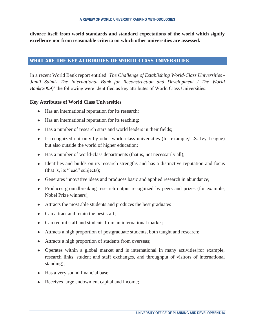**divorce itself from world standards and standard expectations of the world which signify excellence nor from reasonable criteria on which other universities are assessed.**

#### <span id="page-18-0"></span>**WHAT ARE THE KEY ATTRIBUTES OF WORLD CLASS UNIVERSITIES**

In a recent World Bank report entitled *'The Challenge of Establishing World-Class Universities - Jamil Salmi- The International Bank for Reconstruction and Development / The World Bank(2009)*' the following were identified as key attributes of World Class Universities:

#### **Key Attributes of World Class Universities**

- Has an international reputation for its research;
- Has an international reputation for its teaching;
- Has a number of research stars and world leaders in their fields;
- Is recognized not only by other world-class universities (for example,U.S. Ivy League) but also outside the world of higher education;
- Has a number of world-class departments (that is, not necessarily all);
- Identifies and builds on its research strengths and has a distinctive reputation and focus (that is, its "lead" subjects);
- Generates innovative ideas and produces basic and applied research in abundance;
- Produces groundbreaking research output recognized by peers and prizes (for example, Nobel Prize winners);
- Attracts the most able students and produces the best graduates
- Can attract and retain the best staff;
- Can recruit staff and students from an international market:
- Attracts a high proportion of postgraduate students, both taught and research;
- Attracts a high proportion of students from overseas;
- Operates within a global market and is international in many activities(for example, research links, student and staff exchanges, and throughput of visitors of international standing);
- Has a very sound financial base;
- Receives large endowment capital and income;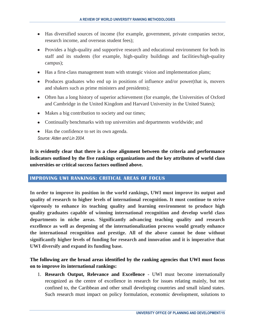- Has diversified sources of income (for example, government, private companies sector, research income, and overseas student fees);
- Provides a high-quality and supportive research and educational environment for both its staff and its students (for example, high-quality buildings and facilities/high-quality campus);
- Has a first-class management team with strategic vision and implementation plans;
- Produces graduates who end up in positions of influence and/or power(that is, movers and shakers such as prime ministers and presidents);
- Often has a long history of superior achievement (for example, the Universities of Oxford and Cambridge in the United Kingdom and Harvard University in the United States);
- Makes a big contribution to society and our times;
- Continually benchmarks with top universities and departments worldwide; and
- Has the confidence to set its own agenda. *Source: Alden and Lin 2004.*

**It is evidently clear that there is a close alignment between the criteria and performance indicators outlined by the five rankings organizations and the key attributes of world class universities or critical success factors outlined above.**

#### <span id="page-19-0"></span>**IMPROVING UWI RANKINGS: CRITICAL AREAS OF FOCUS**

**In order to improve its position in the world rankings, UWI must improve its output and quality of research to higher levels of international recognition. It must continue to strive vigorously to enhance its teaching quality and learning environment to produce high quality graduates capable of winning international recognition and develop world class departments in niche areas. Significantly advancing teaching quality and research excellence as well as deepening of the internationalization process would greatly enhance the international recognition and prestige. All of the above cannot be done without significantly higher levels of funding for research and innovation and it is imperative that UWI diversify and expand its funding base.**

# **The following are the broad areas identified by the ranking agencies that UWI must focus on to improve its international rankings:**

1. **Research Output, Relevance and Excellence** - UWI must become internationally recognized as the centre of excellence in research for issues relating mainly, but not confined to, the Caribbean and other small developing countries and small island states. Such research must impact on policy formulation, economic development, solutions to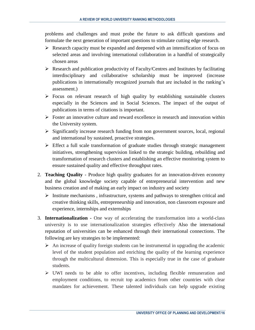problems and challenges and must probe the future to ask difficult questions and formulate the next generation of important questions to stimulate cutting edge research.

- $\triangleright$  Research capacity must be expanded and deepened with an intensification of focus on selected areas and involving international collaboration in a handful of strategically chosen areas
- $\triangleright$  Research and publication productivity of Faculty/Centres and Institutes by facilitating interdisciplinary and collaborative scholarship must be improved (increase publications in internationally recognized journals that are included in the ranking's assessment.)
- $\triangleright$  Focus on relevant research of high quality by establishing sustainable clusters especially in the Sciences and in Social Sciences. The impact of the output of publications in terms of citations is important.
- $\triangleright$  Foster an innovative culture and reward excellence in research and innovation within the University system.
- $\triangleright$  Significantly increase research funding from non government sources, local, regional and international by sustained, proactive strategies.
- $\triangleright$  Effect a full scale transformation of graduate studies through strategic management initiatives, strengthening supervision linked to the strategic building, rebuilding and transformation of research clusters and establishing an effective monitoring system to ensure sustained quality and effective throughput rates.
- 2. **Teaching Quality** Produce high quality graduates for an innovation-driven economy and the global knowledge society capable of entrepreneurial intervention and new business creation and of making an early impact on industry and society
	- $\triangleright$  Institute mechanisms, infrastructure, systems and pathways to strengthen critical and creative thinking skills, entrepreneurship and innovation, non classroom exposure and experience, internships and externships
- 3. **Internationalization -** One way of accelerating the transformation into a world-class university is to use internationalization strategies effectively Also the international reputation of universities can be enhanced through their international connections. The following are key strategies to be implemented:
	- $\triangleright$  An increase of quality foreign students can be instrumental in upgrading the academic level of the student population and enriching the quality of the learning experience through the multicultural dimension. This is especially true in the case of graduate students.
	- $\triangleright$  UWI needs to be able to offer incentives, including flexible remuneration and employment conditions, to recruit top academics from other countries with clear mandates for achievement. These talented individuals can help upgrade existing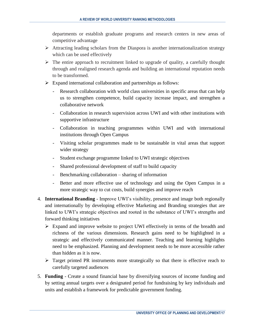departments or establish graduate programs and research centers in new areas of competitive advantage

- $\triangleright$  Attracting leading scholars from the Diaspora is another internationalization strategy which can be used effectively
- $\triangleright$  The entire approach to recruitment linked to upgrade of quality, a carefully thought through and realigned research agenda and building an international reputation needs to be transformed.
- $\triangleright$  Expand international collaboration and partnerships as follows:
	- Research collaboration with world class universities in specific areas that can help us to strengthen competence, build capacity increase impact, and strengthen a collaborative network
	- Collaboration in research supervision across UWI and with other institutions with supportive infrastructure
	- Collaboration in teaching programmes within UWI and with international institutions through Open Campus
	- Visiting scholar programmes made to be sustainable in vital areas that support wider strategy
	- Student exchange programme linked to UWI strategic objectives
	- Shared professional development of staff to build capacity
	- Benchmarking collaboration sharing of information
	- Better and more effective use of technology and using the Open Campus in a more strategic way to cut costs, build synergies and improve reach
- 4. **International Branding** Improve UWI's visibility, presence and image both regionally and internationally by developing effective Marketing and Branding strategies that are linked to UWI's strategic objectives and rooted in the substance of UWI's strengths and forward thinking initiatives
	- $\triangleright$  Expand and improve website to project UWI effectively in terms of the breadth and richness of the various dimensions. Research gains need to be highlighted in a strategic and effectively communicated manner. Teaching and learning highlights need to be emphasized. Planning and development needs to be more accessible rather than hidden as it is now.
	- $\triangleright$  Target printed PR instruments more strategically so that there is effective reach to carefully targeted audiences
- 5. **Funding** Create a sound financial base by diversifying sources of income funding and by setting annual targets over a designated period for fundraising by key individuals and units and establish a framework for predictable government funding.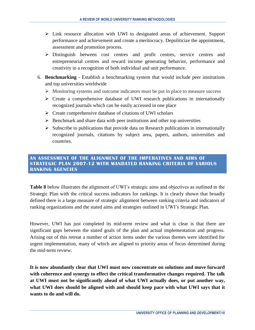- $\triangleright$  Link resource allocation with UWI to designated areas of achievement. Support performance and achievement and create a meritocracy. Depoliticize the appointment, assessment and promotion process.
- Distinguish between cost centres and profit centres, service centres and entrepreneurial centres and reward income generating behavior, performance and creativity in a recognition of both individual and unit performance.
- 6. **Benchmarking** Establish a benchmarking system that would include peer institutions and top universities worldwide
	- $\triangleright$  Monitoring systems and outcome indicators must be put in place to measure success
	- $\triangleright$  Create a comprehensive database of UWI research publications in internationally recognized journals which can be easily accessed in one place
	- $\triangleright$  Create comprehensive database of citations of UWI scholars
	- $\triangleright$  Benchmark and share data with peer institutions and other top universities
	- $\triangleright$  Subscribe to publications that provide data on Research publications in internationally recognized journals, citations by subject area, papers, authors, universities and countries.

#### <span id="page-22-0"></span>**AN ASSESSMENT OF THE ALIGNMENT OF THE IMPERATIVES AND AIMS OF STRATEGIC PLAN 2007-12 WITH MANDATED RANKING CRITERIA OF VARIOUS RANKING AGENCIES**

**Table 8** below illustrates the alignment of UWI's strategic aims and objectives as outlined in the Strategic Plan with the critical success indicators for rankings. It is clearly shown that broadly defined there is a large measure of strategic alignment between ranking criteria and indicators of ranking organizations and the stated aims and strategies outlined in UWI's Strategic Plan.

However, UWI has just completed its mid-term review and what is clear is that there are significant gaps between the stated goals of the plan and actual implementation and progress. Arising out of this retreat a number of action items under the various themes were identified for urgent implementation, many of which are aligned to priority areas of focus determined during the mid-term review.

**It is now abundantly clear that UWI must now concentrate on solutions and move forward with coherence and synergy to effect the critical transformative changes required. The talk at UWI must not be significantly ahead of what UWI actually does, or put another way, what UWI does should be aligned with and should keep pace with what UWI says that it wants to do and will do.**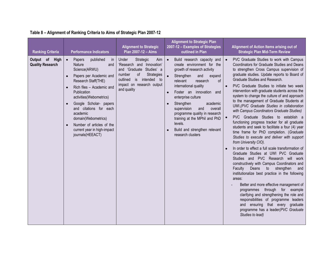# **Table 8 – Alignment of Ranking Criteria to Aims of Strategic Plan 2007-12**

<span id="page-23-0"></span>

| <b>Ranking Criteria</b>                   | <b>Performance Indicators</b>                                                                                                                                                                                                                                                                                                                                                                                                | <b>Alignment to Strategic</b><br>Plan 2007-12 - Aims                                                                                                                                       | <b>Alignment to Strategic Plan</b><br>2007-12 - Examples of Strategies<br>outlined in Plan                                                                                                                                                                                                                                                                                                                                                                                                 | Alignment of Action Items arising out of<br><b>Strategic Plan Mid-Term Review</b>                                                                                                                                                                                                                                                                                                                                                                                                                                                                                                                                                                                                                                                                                                                                                                                                                                                                                                                                                                                                                                                                                                                                                                                                                                                                          |
|-------------------------------------------|------------------------------------------------------------------------------------------------------------------------------------------------------------------------------------------------------------------------------------------------------------------------------------------------------------------------------------------------------------------------------------------------------------------------------|--------------------------------------------------------------------------------------------------------------------------------------------------------------------------------------------|--------------------------------------------------------------------------------------------------------------------------------------------------------------------------------------------------------------------------------------------------------------------------------------------------------------------------------------------------------------------------------------------------------------------------------------------------------------------------------------------|------------------------------------------------------------------------------------------------------------------------------------------------------------------------------------------------------------------------------------------------------------------------------------------------------------------------------------------------------------------------------------------------------------------------------------------------------------------------------------------------------------------------------------------------------------------------------------------------------------------------------------------------------------------------------------------------------------------------------------------------------------------------------------------------------------------------------------------------------------------------------------------------------------------------------------------------------------------------------------------------------------------------------------------------------------------------------------------------------------------------------------------------------------------------------------------------------------------------------------------------------------------------------------------------------------------------------------------------------------|
| Output of High<br><b>Quality Research</b> | published<br>$\bullet$<br>Papers<br>in<br>Nature<br>and<br>Science(ARWU)<br>Papers per Academic and<br>$\bullet$<br>Research Staff(THE)<br>Rich files - Academic and<br>$\bullet$<br>Publication<br>activities(Webometrics)<br>Google Scholar- papers<br>$\bullet$<br>and citations for each<br>academic<br>domain(Webometrics)<br>Number of articles of the<br>$\bullet$<br>current year in high-impact<br>journals(HEEACT) | Strategic<br>Under<br>Aim<br>'Research and Innovation'<br>and 'Graduate Studies' a<br>number<br>of<br>Strategies<br>is intended to<br>outlined<br>impact on research output<br>and quality | Build research capacity and<br>$\bullet$<br>create environment for the<br>growth of research activity<br>Strengthen<br>and<br>expand<br>relevant<br>$\sigma$ f<br>research<br>international quality<br>Foster an innovation and<br>$\bullet$<br>enterprise culture<br>academic<br>Strengthen<br>$\bullet$<br>supervision<br>and<br>overall<br>programme quality in research<br>training at the MPhil and PhD<br>levels.<br>Build and strengthen relevant<br>$\bullet$<br>research clusters | PVC Graduate Studies to work with Campus<br>Coordinators for Graduate Studies and Deans<br>to strengthen Cross Campus supervision of<br>graduate studies. Update reports to Board of<br>Graduate Studies and Research.<br>PVC Graduate Studies to initiate two week<br>$\bullet$<br>intervention with graduate students across the<br>system to change the culture of and approach<br>to the management of Graduate Students at<br>UWI.(PVC Graduate Studies in collaboration<br>with Campus Coordinators Graduate Studies)<br>PVC Graduate Studies to establish a<br>functioning progress tracker for all graduate<br>students and seek to facilitate a four (4) year<br>time frame for PhD completion. (Graduate<br>Studies to execute and deliver with support<br>from University CIO).<br>In order to effect a full scale transformation of<br>Graduate Studies at UWI PVC Graduate<br>Studies and PVC Research will work<br>constructively with Campus Coordinators and<br>Faculty<br>strengthen<br>Deans<br>to<br>and<br>institutionalize best practice in the following<br>areas:<br>Better and more effective management of<br>programmes through for example<br>clarifying and strengthening the role and<br>responsibilities of programme leaders<br>and ensuring that every graduate<br>programme has a leader(PVC Graduate<br>Studies to lead) |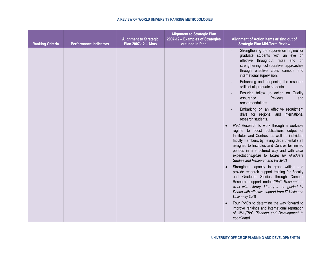| <b>Ranking Criteria</b> | <b>Performance Indicators</b> | <b>Alignment to Strategic</b><br>Plan 2007-12 - Aims | <b>Alignment to Strategic Plan</b><br>2007-12 - Examples of Strategies<br>outlined in Plan | Alignment of Action Items arising out of<br><b>Strategic Plan Mid-Term Review</b>                                                                                                                                                                                                                                                                                  |
|-------------------------|-------------------------------|------------------------------------------------------|--------------------------------------------------------------------------------------------|--------------------------------------------------------------------------------------------------------------------------------------------------------------------------------------------------------------------------------------------------------------------------------------------------------------------------------------------------------------------|
|                         |                               |                                                      |                                                                                            | Strengthening the supervision regime for<br>graduate students with an eye on<br>throughput rates and on<br>effective<br>strengthening collaborative approaches<br>through effective cross campus and<br>international supervision.                                                                                                                                 |
|                         |                               |                                                      |                                                                                            | Enhancing and deepening the research<br>skills of all graduate students.                                                                                                                                                                                                                                                                                           |
|                         |                               |                                                      |                                                                                            | Ensuring follow up action on Quality<br>Assurance<br><b>Reviews</b><br>and<br>recommendations.                                                                                                                                                                                                                                                                     |
|                         |                               |                                                      |                                                                                            | Embarking on an effective recruitment<br>drive for regional and international<br>research students.                                                                                                                                                                                                                                                                |
|                         |                               |                                                      |                                                                                            | PVC Research to work through a workable<br>regime to boost publications output of<br>Institutes and Centres, as well as individual<br>faculty members, by having departmental staff<br>assigned to Institutes and Centres for limited<br>periods in a structured way and with clear<br>expectations.(Plan to Board for Graduate<br>Studies and Research and F&GPC) |
|                         |                               |                                                      |                                                                                            | Strengthen capacity in grant writing and<br>provide research support training for Faculty<br>and Graduate Studies through Campus<br>Research support nodes. (PVC Research to<br>work with Library, Library to be guided by<br>Deans with effective support from IT Units and<br>University CIO)                                                                    |
|                         |                               |                                                      |                                                                                            | Four PVC's to determine the way forward to<br>improve rankings and international reputation<br>of UWI.(PVC Planning and Development to<br>coordinate).                                                                                                                                                                                                             |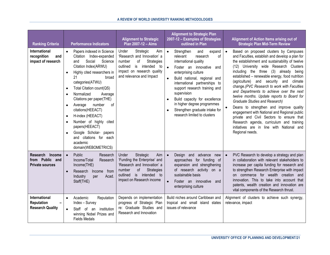| <b>Ranking Criteria</b>                                                   |                                                                                                      | <b>Performance Indicators</b>                                                                                                                                                                                                                                                                                                                                                                                                                                      | <b>Alignment to Strategic</b><br>Plan 2007-12 - Aims                                                                                                                                        | <b>Alignment to Strategic Plan</b><br>2007-12 - Examples of Strategies<br>outlined in Plan                                                                                                                                                                                                                                                                                                                                                       |           | Alignment of Action Items arising out of<br><b>Strategic Plan Mid-Term Review</b>                                                                                                                                                                                                                                                                                                                                                                                                                                                                                                                                                                                                                                                                                           |
|---------------------------------------------------------------------------|------------------------------------------------------------------------------------------------------|--------------------------------------------------------------------------------------------------------------------------------------------------------------------------------------------------------------------------------------------------------------------------------------------------------------------------------------------------------------------------------------------------------------------------------------------------------------------|---------------------------------------------------------------------------------------------------------------------------------------------------------------------------------------------|--------------------------------------------------------------------------------------------------------------------------------------------------------------------------------------------------------------------------------------------------------------------------------------------------------------------------------------------------------------------------------------------------------------------------------------------------|-----------|-----------------------------------------------------------------------------------------------------------------------------------------------------------------------------------------------------------------------------------------------------------------------------------------------------------------------------------------------------------------------------------------------------------------------------------------------------------------------------------------------------------------------------------------------------------------------------------------------------------------------------------------------------------------------------------------------------------------------------------------------------------------------------|
| International<br>recognition<br>and<br>impact of research                 | $\bullet$<br>$\bullet$<br>$\bullet$<br>$\bullet$<br>$\bullet$<br>$\bullet$<br>$\bullet$<br>$\bullet$ | Papers indexed in Science<br>Citation Index-expanded<br>Social<br>Science<br>and<br>Citation Index(ARWU)<br>Highly cited researchers in<br>21<br>broad<br>categories(ATWU)<br>Total Citation count(QS)<br>Normalized<br>Average<br>Citations per paper(THE)<br>Average<br>οf<br>number<br>citations(HEEACT)<br>H-index (HEEACT)<br>Number of highly cited<br>papers(HEEACT)<br>Google Scholar- papers<br>and citations for each<br>academic<br>domain(WEBOMETRICS) | Under<br>Strategic<br>Aim<br>'Research and Innovation' a<br>number<br>of<br>Strategies<br>outlined<br>is<br>intended<br>to<br>impact on research quality<br>and relevance and Impact        | Strengthen<br>and<br>expand<br>$\bullet$<br>relevant<br>οf<br>research<br>international quality<br>$\bullet$<br>Foster an innovative<br>and<br>enterprising culture<br>Build national, regional and<br>international partnerships to<br>support research training and<br>supervision<br>Build capacity for excellence<br>$\bullet$<br>in higher degree programmes<br>Strengthen graduate intake for<br>$\bullet$<br>research limited to clusters |           | Based on proposed clusters by Campuses<br>and Faculties, establish and develop a plan for<br>the establishment and sustainability of twelve<br>(12) University wide Research Clusters<br>including the three<br>(3) already<br>being<br>established - renewable energy, food nutrition<br>(agriculture)<br>and security and<br>climate<br>change.(PVC Research to work with Faculties<br>and Departments to achieve over the next<br>twelve months. Update reports to Board for<br><b>Graduate Studies and Research)</b><br>Deans to strengthen and improve quality<br>engagement with National and Regional public<br>private and Civil Sectors to ensure that<br>Research agenda, curriculum and training<br>initiatives are in line with National and<br>Regional needs. |
| Research<br>Income<br>from Public and<br><b>Private sources</b>           | $\bullet$                                                                                            | Public<br>Research<br>Income/Total<br>Research<br>Income(THE)<br>Research<br>Income from<br>Industry<br>Acad.<br>per<br>Staff(THE)                                                                                                                                                                                                                                                                                                                                 | Under<br>Strategic<br>Aim<br>'Funding the Enterprise' and<br>'Research and Innovation' a<br>of<br>number<br><b>Strategies</b><br>is<br>intended to<br>outlined<br>impact on Research income | Design and advance<br>$\bullet$<br>new<br>approaches for funding of<br>expansion and strengthening<br>of research activity on a<br>sustainable basis<br>Foster an innovative<br>$\bullet$<br>and<br>enterprising culture                                                                                                                                                                                                                         | $\bullet$ | PVC Research to develop a strategy and plan<br>in collaboration with relevant stakeholders to<br>increase per capita funding for research and<br>to strengthen Research Enterprise with impact<br>on commerce for wealth creation and<br>innovation. This to take into account that<br>patents, wealth creation and innovation are<br>vital components of the Research thrust.                                                                                                                                                                                                                                                                                                                                                                                              |
| <b>International</b><br><b>Reputation</b><br>-<br><b>Research Quality</b> | $\bullet$<br>$\bullet$                                                                               | Academic<br>Reputation<br>Index - Survey<br>Staff of an<br>institution<br>winning Nobel Prizes and<br><b>Fields Medals</b>                                                                                                                                                                                                                                                                                                                                         | Depends on implementation<br>progress of Strategic Plan<br>re: Graduate Studies and<br>Research and Innovation                                                                              | Build niches around Caribbean and<br>tropical and small island states<br>issues of relevance                                                                                                                                                                                                                                                                                                                                                     |           | Alignment of clusters to achieve such synergy,<br>relevance, impact                                                                                                                                                                                                                                                                                                                                                                                                                                                                                                                                                                                                                                                                                                         |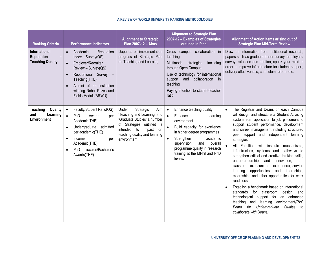| <b>Ranking Criteria</b>                                       | <b>Performance Indicators</b>                                                                                                                                                                                                                                      | <b>Alignment to Strategic</b><br>Plan 2007-12 - Aims                                                                                                                                             | <b>Alignment to Strategic Plan</b><br>2007-12 - Examples of Strategies<br>outlined in Plan                                                                                                                                                                                                                    | Alignment of Action Items arising out of<br><b>Strategic Plan Mid-Term Review</b>                                                                                                                                                                                                                                                                                                                                                                                                                                                                                                                                                                                                                                                                                                                                                                                                                                             |
|---------------------------------------------------------------|--------------------------------------------------------------------------------------------------------------------------------------------------------------------------------------------------------------------------------------------------------------------|--------------------------------------------------------------------------------------------------------------------------------------------------------------------------------------------------|---------------------------------------------------------------------------------------------------------------------------------------------------------------------------------------------------------------------------------------------------------------------------------------------------------------|-------------------------------------------------------------------------------------------------------------------------------------------------------------------------------------------------------------------------------------------------------------------------------------------------------------------------------------------------------------------------------------------------------------------------------------------------------------------------------------------------------------------------------------------------------------------------------------------------------------------------------------------------------------------------------------------------------------------------------------------------------------------------------------------------------------------------------------------------------------------------------------------------------------------------------|
| International<br><b>Reputation</b><br><b>Teaching Quality</b> | Academic<br>Reputation<br>$\bullet$<br>$Index - Survey(QS)$<br>Employer/Recruiter<br>$\bullet$<br>Review - Survey(QS)<br>Reputational Survey -<br>Teaching(THE)<br>Alumni of an institution<br>winning Nobel Prizes and<br>Fields Medals(ARWU)                     | Depends on implementation<br>progress of Strategic Plan<br>re: Teaching and Learning                                                                                                             | Cross campus collaboration in<br>teaching<br>Multimode<br>strategies<br>including<br>through Open Campus<br>Use of technology for international<br>support and collaboration<br>in<br>teaching<br>Paying attention to student-teacher<br>ratio                                                                | Draw on information from institutional research,<br>papers such as graduate tracer survey, employers'<br>survey, retention and attrition, speak your mind in<br>order to improve infrastructure for student support,<br>delivery effectiveness, curriculum reform, etc.                                                                                                                                                                                                                                                                                                                                                                                                                                                                                                                                                                                                                                                       |
| Quality<br><b>Teaching</b><br>Learning<br>and<br>Environment  | Faculty/Student Ratio(QS)<br>$\bullet$<br>$\bullet$<br>PhD<br>Awards<br>per<br>Academic(THE)<br>Undergraduate<br>admitted<br>$\bullet$<br>per academic(THE)<br>Income<br>$\bullet$<br>per<br>Academic(THE)<br>awards/Bachelor's<br>PhD<br>$\bullet$<br>Awards(THE) | Strategic<br>Under<br>Aim<br>'Teaching and Learning' and<br>'Graduate Studies' a number<br>of Strategies outlined is<br>intended to impact<br>on<br>teaching quality and learning<br>environment | Enhance teaching quality<br>$\bullet$<br>$\bullet$<br>Enhance<br>Learning<br>environment<br>Build capacity for excellence<br>in higher degree programmes<br>Strengthen<br>academic<br>$\bullet$<br>supervision<br>and<br>overall<br>programme quality in research<br>training at the MPhil and PhD<br>levels. | The Registrar and Deans on each Campus<br>$\bullet$<br>will design and structure a Student Advising<br>system from application to job placement to<br>support student performance, development<br>and career management including structured<br>peer support and independent learning<br>strategies.<br>All Faculties<br>will institute mechanisms,<br>infrastructure, systems and pathways to<br>strengthen critical and creative thinking skills,<br>entrepreneurship<br>and<br>innovation,<br>non<br>classroom exposure and experience, service<br>opportunities<br>and internships,<br>learning<br>externships and other opportunities for work<br>readiness.<br>Establish a benchmark based on international<br>for classroom<br>design and<br>standards<br>technological support for an enhanced<br>teaching and learning environment(PVC<br>Board for Undergraduate<br><b>Studies</b><br>to<br>collaborate with Deans) |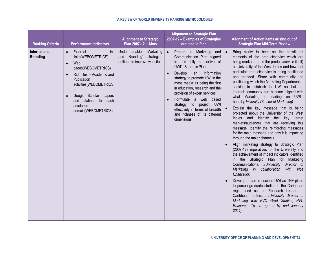| <b>Ranking Criteria</b>          | <b>Performance Indicators</b>                                                                                                                                                                                                                                          | <b>Alignment to Strategic</b><br>Plan 2007-12 - Aims                                | <b>Alignment to Strategic Plan</b><br>2007-12 - Examples of Strategies<br>outlined in Plan                                                                                                                                                                                                                                                                                                                                                          | Alignment of Action Items arising out of<br><b>Strategic Plan Mid-Term Review</b>                                                                                                                                                                                                                                                                                                                                                                                                                                                                                                                                                                                                                                                                                                                                                                                                                                                                                                                                                                                                                                                                                                                                                                                                                                                                                                                             |
|----------------------------------|------------------------------------------------------------------------------------------------------------------------------------------------------------------------------------------------------------------------------------------------------------------------|-------------------------------------------------------------------------------------|-----------------------------------------------------------------------------------------------------------------------------------------------------------------------------------------------------------------------------------------------------------------------------------------------------------------------------------------------------------------------------------------------------------------------------------------------------|---------------------------------------------------------------------------------------------------------------------------------------------------------------------------------------------------------------------------------------------------------------------------------------------------------------------------------------------------------------------------------------------------------------------------------------------------------------------------------------------------------------------------------------------------------------------------------------------------------------------------------------------------------------------------------------------------------------------------------------------------------------------------------------------------------------------------------------------------------------------------------------------------------------------------------------------------------------------------------------------------------------------------------------------------------------------------------------------------------------------------------------------------------------------------------------------------------------------------------------------------------------------------------------------------------------------------------------------------------------------------------------------------------------|
| International<br><b>Branding</b> | External<br>in-<br>$\bullet$<br>links(WEBOMETRICS)<br>Web<br>$\bullet$<br>pages(WEBOMETRICS)<br>Rich files - Academic and<br>Publication<br>activities(WEBOMETRICS<br>Google Scholar- papers<br>$\bullet$<br>and citations for each<br>academic<br>domain(WEBOMETRICS) | Under enabler 'Marketing<br>and Branding' strategies<br>outlined to improve website | Prepare a Marketing and<br>Communication Plan aligned<br>to and fully supportive of<br>UWI's Strategic Plan<br>Develop<br>information<br>an<br>$\bullet$<br>strategy to promote UWI in the<br>mass media as being the first<br>in education, research and the<br>provision of expert services<br>Formulate a web<br>based<br>$\bullet$<br>strategy to project UWI<br>effectively in terms of breadth<br>and richness of its different<br>dimensions | Bring clarity to bear on the constituent<br>elements of the product/service which are<br>being marketed (and the product/service itself)<br>as University of the West Indies and how that<br>particular product/service is being positioned<br>and branded. Share with community the<br>positioning which the Marketing Department is<br>seeking to establish for UWI so that the<br>internal community can become aligned with<br>what Marketing is leading on UWI's<br>behalf. (University Director of Marketing)<br>Explain the key message that is being<br>projected about the University of the West<br>Indies and identify the<br>key<br>target<br>markets/audiences that are receiving this<br>message. Identify the reinforcing messages<br>for the main message and how it is impacting<br>through the major channels.<br>Align marketing strategy to Strategic Plan<br>(2007-12) imperatives for the University and<br>the achievement of impact indicators identified<br>in the Strategic Plan for Marketing<br>Communications. .(University Director of<br>Marketing in collaboration<br>with Vice<br>Chancellor)<br>Develop a plan to position UWI as THE place<br>to pursue graduate studies in the Caribbean<br>region and as the Research Leader on<br>Caribbean matters. . (University Director of<br>Marketing with PVC Grad Studies, PVC<br>Research. To be agreed by end January<br>2011 |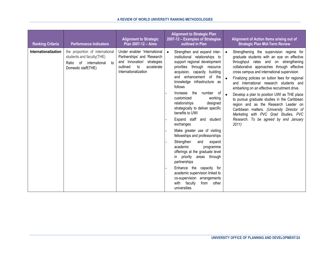| <b>Ranking Criteria</b> | <b>Performance Indicators</b>                                                                                       | <b>Alignment to Strategic</b><br>Plan 2007-12 - Aims                                                                                              | <b>Alignment to Strategic Plan</b><br>2007-12 - Examples of Strategies<br>outlined in Plan                                                                                                                                                                                                                                                                                                                                                                                                                                                                                                                                                                                                                                                                                                               | Alignment of Action Items arising out of<br><b>Strategic Plan Mid-Term Review</b>                                                                                                                                                                                                                                                                                                                                                                                                                                                                                                                                                                                                              |
|-------------------------|---------------------------------------------------------------------------------------------------------------------|---------------------------------------------------------------------------------------------------------------------------------------------------|----------------------------------------------------------------------------------------------------------------------------------------------------------------------------------------------------------------------------------------------------------------------------------------------------------------------------------------------------------------------------------------------------------------------------------------------------------------------------------------------------------------------------------------------------------------------------------------------------------------------------------------------------------------------------------------------------------------------------------------------------------------------------------------------------------|------------------------------------------------------------------------------------------------------------------------------------------------------------------------------------------------------------------------------------------------------------------------------------------------------------------------------------------------------------------------------------------------------------------------------------------------------------------------------------------------------------------------------------------------------------------------------------------------------------------------------------------------------------------------------------------------|
| Internationalization    | the proportion of international<br>students and faculty(THE)<br>Ratio of international<br>to<br>Domestic staff(THE) | Under enabler 'International<br>Partnerships' and 'Research<br>and Innovation' strategies<br>to<br>accelerate<br>outlined<br>Internationalization | Strengthen and expand inter-<br>$\bullet$<br>institutional relationships to<br>support regional development<br>priorities through resource<br>acquision, capacity building<br>enhancement of the<br>and<br>knowledge infrastructure as<br>follows<br>Increase the number of<br>working<br>customized<br>relationships<br>designed<br>strategically to deliver specific<br>benefits to UWI<br>Expand staff and student<br>exchanges<br>Make greater use of visiting<br>fellowships and professorships<br>Strengthen<br>and<br>expand<br>academic<br>programme<br>offerings at the graduate level<br>priority areas through<br>$\mathsf{in}$<br>partnerships<br>Enhance the capacity for<br>academic supervision linked to<br>co-supervision arrangements<br>with faculty<br>from<br>other<br>universities | Strengthening the supervision regime for<br>$\bullet$<br>graduate students with an eye on effective<br>throughput rates and on strengthening<br>collaborative approaches through effective<br>cross campus and international supervision<br>$\bullet$<br>Finalizing policies on tuition fees for regional<br>and international research students and<br>embarking on an effective recruitment drive.<br>$\bullet$<br>Develop a plan to position UWI as THE place<br>to pursue graduate studies in the Caribbean<br>region and as the Research Leader on<br>Caribbean matters. (University Director of<br>Marketing with PVC Grad Studies, PVC<br>Research. To be agreed by end January<br>2011 |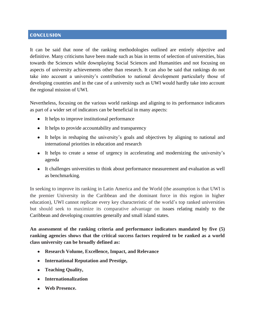# <span id="page-29-0"></span>**CONCLUSION**

It can be said that none of the ranking methodologies outlined are entirely objective and definitive. Many criticisms have been made such as bias in terms of selection of universities, bias towards the Sciences while downplaying Social Sciences and Humanities and not focusing on aspects of university achievements other than research. It can also be said that rankings do not take into account a university's contribution to national development particularly those of developing countries and in the case of a university such as UWI would hardly take into account the regional mission of UWI.

Nevertheless, focusing on the various world rankings and aligning to its performance indicators as part of a wider set of indicators can be beneficial in many aspects:

- It helps to improve institutional performance
- It helps to provide accountability and transparency
- It helps in reshaping the university's goals and objectives by aligning to national and international priorities in education and research
- It helps to create a sense of urgency in accelerating and modernizing the university's agenda
- It challenges universities to think about performance measurement and evaluation as well as benchmarking.

In seeking to improve its ranking in Latin America and the World (the assumption is that UWI is the premier University in the Caribbean and the dominant force in this region in higher education), UWI cannot replicate every key characteristic of the world's top ranked universities but should seek to maximize its comparative advantage on issues relating mainly to the Caribbean and developing countries generally and small island states.

**An assessment of the ranking criteria and performance indicators mandated by five (5) ranking agencies shows that the critical success factors required to be ranked as a world class university can be broadly defined as:**

- **Research Volume, Excellence, Impact, and Relevance**
- **International Reputation and Prestige,**
- **Teaching Quality,**
- **Internationalization**
- **Web Presence.**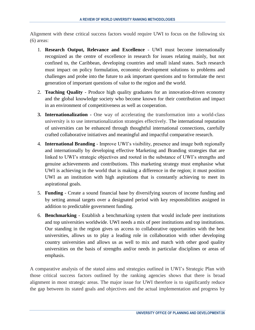Alignment with these critical success factors would require UWI to focus on the following six (6) areas:

- 1. **Research Output, Relevance and Excellence** UWI must become internationally recognized as the centre of excellence in research for issues relating mainly, but not confined to, the Caribbean, developing countries and small island states. Such research must impact on policy formulation, economic development solutions to problems and challenges and probe into the future to ask important questions and to formulate the next generation of important questions of value to the region and the world.
- 2. **Teaching Quality** Produce high quality graduates for an innovation-driven economy and the global knowledge society who become known for their contribution and impact in an environment of competitiveness as well as cooperation.
- **3. Internationalization -** One way of accelerating the transformation into a world-class university is to use internationalization strategies effectively. The international reputation of universities can be enhanced through thoughtful international connections, carefully crafted collaborative initiatives and meaningful and impactful comparative research.
- 4. **International Branding** Improve UWI's visibility, presence and image both regionally and internationally by developing effective Marketing and Branding strategies that are linked to UWI's strategic objectives and rooted in the substance of UWI's strengths and genuine achievements and contributions. This marketing strategy must emphasise what UWI is achieving in the world that is making a difference in the region; it must position UWI as an institution with high aspirations that is constantly achieving to meet its aspirational goals.
- 5. **Funding** Create a sound financial base by diversifying sources of income funding and by setting annual targets over a designated period with key responsibilities assigned in addition to predictable government funding.
- 6. **Benchmarking** Establish a benchmarking system that would include peer institutions and top universities worldwide. UWI needs a mix of peer institutions and top institutions. Our standing in the region gives us access to collaborative opportunities with the best universities, allows us to play a leading role in collaboration with other developing country universities and allows us as well to mix and match with other good quality universities on the basis of strengths and/or needs in particular disciplines or areas of emphasis.

A comparative analysis of the stated aims and strategies outlined in UWI's Strategic Plan with those critical success factors outlined by the ranking agencies shows that there is broad alignment in most strategic areas. The major issue for UWI therefore is to significantly reduce the gap between its stated goals and objectives and the actual implementation and progress by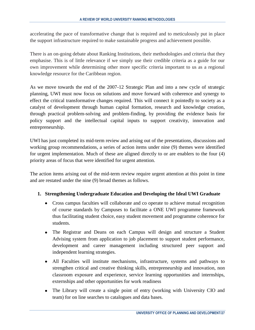accelerating the pace of transformative change that is required and to meticulously put in place the support infrastructure required to make sustainable progress and achievement possible.

There is an on-going debate about Ranking Institutions, their methodologies and criteria that they emphasise. This is of little relevance if we simply use their credible criteria as a guide for our own improvement while determining other more specific criteria important to us as a regional knowledge resource for the Caribbean region.

As we move towards the end of the 2007-12 Strategic Plan and into a new cycle of strategic planning, UWI must now focus on solutions and move forward with coherence and synergy to effect the critical transformative changes required. This will connect it pointedly to society as a catalyst of development through human capital formation, research and knowledge creation, through practical problem-solving and problem-finding, by providing the evidence basis for policy support and the intellectual capital inputs to support creativity, innovation and entrepreneurship.

UWI has just completed its mid-term review and arising out of the presentations, discussions and working group recommendations, a series of action items under nine (9) themes were identified for urgent implementation. Much of these are aligned directly to or are enablers to the four (4) priority areas of focus that were identified for urgent attention.

The action items arising out of the mid-term review require urgent attention at this point in time and are restated under the nine (9) broad themes as follows.

# **1. Strengthening Undergraduate Education and Developing the Ideal UWI Graduate**

- Cross campus faculties will collaborate and co operate to achieve mutual recognition of course standards by Campuses to facilitate a ONE UWI programme framework thus facilitating student choice, easy student movement and programme coherence for students.
- The Registrar and Deans on each Campus will design and structure a Student Advising system from application to job placement to support student performance, development and career management including structured peer support and independent learning strategies.
- All Faculties will institute mechanisms, infrastructure, systems and pathways to strengthen critical and creative thinking skills, entrepreneurship and innovation, non classroom exposure and experience, service learning opportunities and internships, externships and other opportunities for work readiness
- The Library will create a single point of entry (working with University CIO and team) for on line searches to catalogues and data bases.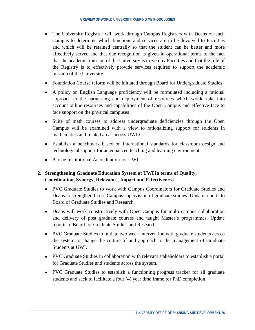- The University Registrar will work through Campus Registrars with Deans on each Campus to determine which functions and services are to be devolved to Faculties and which will be retained centrally so that the student can be better and more effectively served and that due recognition is given in operational terms to the fact that the academic mission of the University is driven by Faculties and that the role of the Registry is to effectively provide services required to support the academic mission of the University.
- Foundation Course reform will be initiated through Board for Undergraduate Studies.
- A policy on English Language proficiency will be formulated including a rational approach to the harnessing and deployment of resources which would take into account online resources and capabilities of the Open Campus and effective face to face support on the physical campuses
- Suite of math courses to address undergraduate deficiencies through the Open Campus will be examined with a view to rationalizing support for students in mathematics and related areas across UWI.*\*
- Establish a benchmark based on international standards for classroom design and technological support for an enhanced teaching and learning environment
- Pursue Institutional Accreditation for UWI.

# **2. Strengthening Graduate Education System at UWI in terms of Quality, Coordination, Synergy, Relevance, Impact and Effectiveness**

- PVC Graduate Studies to work with Campus Coordinators for Graduate Studies and Deans to strengthen Cross Campus supervision of graduate studies. Update reports to Board of Graduate Studies and Research.
- Deans will work constructively with Open Campus for multi campus collaboration and delivery of post graduate courses and taught Master's programmes. Update reports to Board for Graduate Studies and Research.
- PVC Graduate Studies to initiate two week intervention with graduate students across the system to change the culture of and approach to the management of Graduate Students at UWI.
- PVC Graduate Studies in collaboration with relevant stakeholders to establish a portal for Graduate Studies and students across the system.
- PVC Graduate Studies to establish a functioning progress tracker for all graduate students and seek to facilitate a four (4) year time frame for PhD completion.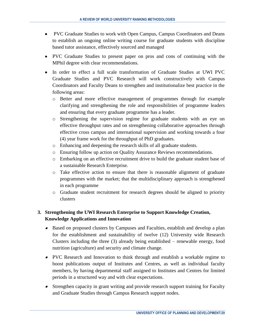- PVC Graduate Studies to work with Open Campus, Campus Coordinators and Deans to establish an ongoing online writing course for graduate students with discipline based tutor assistance, effectively sourced and managed
- PVC Graduate Studies to present paper on pros and cons of continuing with the MPhil degree with clear recommendations.
- In order to effect a full scale transformation of Graduate Studies at UWI PVC Graduate Studies and PVC Research will work constructively with Campus Coordinators and Faculty Deans to strengthen and institutionalize best practice in the following areas:
	- o Better and more effective management of programmes through for example clarifying and strengthening the role and responsibilities of programme leaders and ensuring that every graduate programme has a leader.
	- o Strengthening the supervision regime for graduate students with an eye on effective throughput rates and on strengthening collaborative approaches through effective cross campus and international supervision and working towards a four (4) year frame work for the throughput of PhD graduates.
	- o Enhancing and deepening the research skills of all graduate students.
	- o Ensuring follow up action on Quality Assurance Reviews recommendations.
	- o Embarking on an effective recruitment drive to build the graduate student base of a sustainable Research Enterprise.
	- o Take effective action to ensure that there is reasonable alignment of graduate programmes with the market; that the multidisciplinary approach is strengthened in each programme
	- o Graduate student recruitment for research degrees should be aligned to priority clusters

# **3. Strengthening the UWI Research Enterprise to Support Knowledge Creation, Knowledge Applications and Innovation**

- Based on proposed clusters by Campuses and Faculties, establish and develop a plan for the establishment and sustainability of twelve (12) University wide Research Clusters including the three (3) already being established – renewable energy, food nutrition (agriculture) and security and climate change.
- PVC Research and Innovation to think through and establish a workable regime to boost publications output of Institutes and Centres, as well as individual faculty members, by having departmental staff assigned to Institutes and Centres for limited periods in a structured way and with clear expectations.
- Strengthen capacity in grant writing and provide research support training for Faculty and Graduate Studies through Campus Research support nodes.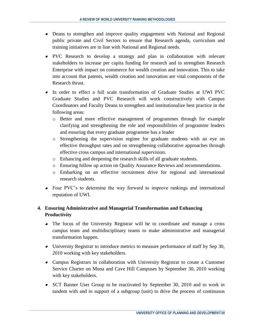- Deans to strengthen and improve quality engagement with National and Regional public private and Civil Sectors to ensure that Research agenda, curriculum and training initiatives are in line with National and Regional needs.
- PVC Research to develop a strategy and plan in collaboration with relevant stakeholders to increase per capita funding for research and to strengthen Research Enterprise with impact on commerce for wealth creation and innovation. This to take into account that patents, wealth creation and innovation are vital components of the Research thrust.
- In order to effect a full scale transformation of Graduate Studies at UWI PVC Graduate Studies and PVC Research will work constructively with Campus Coordinators and Faculty Deans to strengthen and institutionalize best practice in the following areas:
	- o Better and more effective management of programmes through for example clarifying and strengthening the role and responsibilities of programme leaders and ensuring that every graduate programme has a leader
	- o Strengthening the supervision regime for graduate students with an eye on effective throughput rates and on strengthening collaborative approaches through effective cross campus and international supervision.
	- o Enhancing and deepening the research skills of all graduate students.
	- o Ensuring follow up action on Quality Assurance Reviews and recommendations.
	- o Embarking on an effective recruitment drive for regional and international research students.
- Four PVC's to determine the way forward to improve rankings and international reputation of UWI.

# **4. Ensuring Administrative and Managerial Transformation and Enhancing Productivity**

- $\bullet$ The focus of the University Registrar will be to coordinate and manage a cross campus team and multidisciplinary teams to make administrative and managerial transformation happen.
- University Registrar to introduce metrics to measure performance of staff by Sep 30, 2010 working with key stakeholders.
- Campus Registrars in collaboration with University Registrar to create a Customer Service Charter on Mona and Cave Hill Campuses by September 30, 2010 working with key stakeholders.
- SCT Banner User Group to be reactivated by September 30, 2010 and to work in tandem with and in support of a subgroup (unit) to drive the process of continuous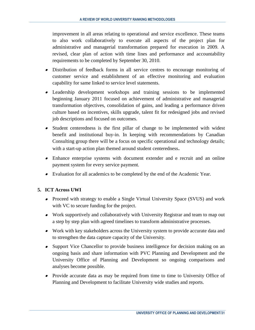improvement in all areas relating to operational and service excellence. These teams to also work collaboratively to execute all aspects of the project plan for administrative and managerial transformation prepared for execution in 2009. A revised, clear plan of action with time lines and performance and accountability requirements to be completed by September 30, 2010.

- Distribution of feedback forms in all service centres to encourage monitoring of customer service and establishment of an effective monitoring and evaluation capability for same linked to service level statements.
- Leadership development workshops and training sessions to be implemented beginning January 2011 focused on achievement of administrative and managerial transformation objectives, consolidation of gains, and leading a performance driven culture based on incentives, skills upgrade, talent fit for redesigned jobs and revised job descriptions and focused on outcomes.
- Student centeredness is the first pillar of change to be implemented with widest benefit and institutional buy-in. In keeping with recommendations by Canadian Consulting group there will be a focus on specific operational and technology details; with a start-up action plan themed around student centeredness.
- Enhance enterprise systems with document extender and e recruit and an online payment system for every service payment.
- Evaluation for all academics to be completed by the end of the Academic Year.

# **5. ICT Across UWI**

- Proceed with strategy to enable a Single Virtual University Space (SVUS) and work with VC to secure funding for the project.
- Work supportively and collaboratively with University Registrar and team to map out a step by step plan with agreed timelines to transform administrative processes.
- Work with key stakeholders across the University system to provide accurate data and to strengthen the data capture capacity of the University.
- Support Vice Chancellor to provide business intelligence for decision making on an ongoing basis and share information with PVC Planning and Development and the University Office of Planning and Development so ongoing comparisons and analyses become possible.
- Provide accurate data as may be required from time to time to University Office of Planning and Development to facilitate University wide studies and reports.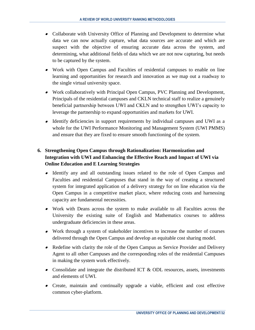- Collaborate with University Office of Planning and Development to determine what data we can now actually capture, what data sources are accurate and which are suspect with the objective of ensuring accurate data across the system, and determining, what additional fields of data which we are not now capturing, but needs to be captured by the system.
- Work with Open Campus and Faculties of residential campuses to enable on line learning and opportunities for research and innovation as we map out a roadway to the single virtual university space.
- Work collaboratively with Principal Open Campus, PVC Planning and Development, Principals of the residential campuses and CKLN technical staff to realize a genuinely beneficial partnership between UWI and CKLN and to strengthen UWI's capacity to leverage the partnership to expand opportunities and markets for UWI.
- Identify deficiencies in support requirements by individual campuses and UWI as a whole for the UWI Performance Monitoring and Management System (UWI PMMS) and ensure that they are fixed to ensure smooth functioning of the system.

# **6. Strengthening Open Campus through Rationalization: Harmonization and Integration with UWI and Enhancing the Effective Reach and Impact of UWI via Online Education and E Learning Strategies**

- Identify any and all outstanding issues related to the role of Open Campus and Faculties and residential Campuses that stand in the way of creating a structured system for integrated application of a delivery strategy for on line education via the Open Campus in a competitive market place, where reducing costs and harnessing capacity are fundamental necessities.
- Work with Deans across the system to make available to all Faculties across the University the existing suite of English and Mathematics courses to address undergraduate deficiencies in these areas.
- Work through a system of stakeholder incentives to increase the number of courses delivered through the Open Campus and develop an equitable cost sharing model.
- Redefine with clarity the role of the Open Campus as Service Provider and Delivery Agent to all other Campuses and the corresponding roles of the residential Campuses in making the system work effectively.
- Consolidate and integrate the distributed ICT & ODL resources, assets, investments and elements of UWI.
- Create, maintain and continually upgrade a viable, efficient and cost effective common cyber-platform.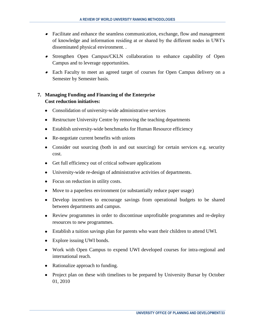- Facilitate and enhance the seamless communication, exchange, flow and management of knowledge and information residing at or shared by the different nodes in UWI's disseminated physical environment. *.*
- Strengthen Open Campus/CKLN collaboration to enhance capability of Open Campus and to leverage opportunities.
- Each Faculty to meet an agreed target of courses for Open Campus delivery on a Semester by Semester basis.

# **7. Managing Funding and Financing of the Enterprise Cost reduction initiatives:**

- Consolidation of university-wide administrative services
- Restructure University Centre by removing the teaching departments
- Establish university-wide benchmarks for Human Resource efficiency
- Re-negotiate current benefits with unions
- Consider out sourcing (both in and out sourcing) for certain services e.g. security cost.
- Get full efficiency out of critical software applications
- University-wide re-design of administrative activities of departments.
- Focus on reduction in utility costs.
- Move to a paperless environment (or substantially reduce paper usage)
- Develop incentives to encourage savings from operational budgets to be shared between departments and campus.
- Review programmes in order to discontinue unprofitable programmes and re-deploy resources to new programmes.
- Establish a tuition savings plan for parents who want their children to attend UWI.
- Explore issuing UWI bonds.
- Work with Open Campus to expend UWI developed courses for intra-regional and international reach.
- Rationalize approach to funding.
- Project plan on these with timelines to be prepared by University Bursar by October 01, 2010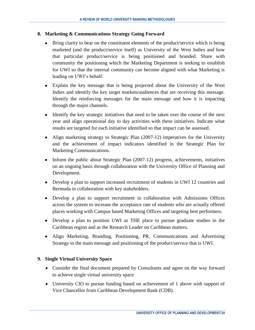#### **8. Marketing & Communications Strategy Going Forward**

- $\bullet$ Bring clarity to bear on the constituent elements of the product/service which is being marketed (and the product/service itself) as University of the West Indies and how that particular product/service is being positioned and branded. Share with community the positioning which the Marketing Department is seeking to establish for UWI so that the internal community can become aligned with what Marketing is leading on UWI's behalf.
- Explain the key message that is being projected about the University of the West Indies and identify the key target markets/audiences that are receiving this message. Identify the reinforcing messages for the main message and how it is impacting through the major channels.
- Identify the key strategic initiatives that need to be taken over the course of the next year and align operational day to day activities with these initiatives. Indicate what results are targeted for each initiative identified so that impact can be assessed.
- Align marketing strategy to Strategic Plan (2007-12) imperatives for the University and the achievement of impact indicators identified in the Strategic Plan for Marketing Communications.
- Inform the public about Strategic Plan (2007-12) progress, achievements, initiatives on an ongoing basis through collaboration with the University Office of Planning and Development.
- Develop a plan to support increased recruitment of students in UWI 12 countries and Bermuda in collaboration with key stakeholders.
- Develop a plan to support recruitment in collaboration with Admissions Offices across the system to increase the acceptance rate of students who are actually offered places working with Campus based Marketing Offices and targeting best performers.
- Develop a plan to position UWI as THE place to pursue graduate studies in the Caribbean region and as the Research Leader on Caribbean matters.
- Align Marketing, Branding, Positioning, PR, Communications and Advertising Strategy to the main message and positioning of the product/service that is UWI.

#### **9. Single Virtual University Space**

- Consider the final document prepared by Consultants and agree on the way forward to achieve single virtual university space
- University CIO to pursue funding based on achievement of 1 above with support of Vice Chancellor from Caribbean Development Bank (CDB).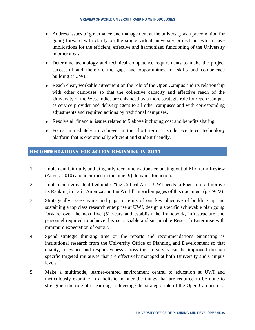- Address issues of governance and management at the university as a precondition for going forward with clarity on the single virtual university project but which have implications for the efficient, effective and harmonized functioning of the University in other areas.
- Determine technology and technical competence requirements to make the project successful and therefore the gaps and opportunities for skills and competence building at UWI.
- Reach clear, workable agreement on the role of the Open Campus and its relationship with other campuses so that the collective capacity and effective reach of the University of the West Indies are enhanced by a more strategic role for Open Campus as service provider and delivery agent to all other campuses and with corresponding adjustments and required actions by traditional campuses.
- Resolve all financial issues related to 5 above including cost and benefits sharing.
- Focus immediately to achieve in the short term a student-centered technology platform that is operationally efficient and student friendly.

# <span id="page-39-0"></span>**RECOMMENDATIONS FOR ACTION BEGINNING IN 2011**

- 1. Implement faithfully and diligently recommendations emanating out of Mid-term Review (August 2010) and identified in the nine (9) domains for action.
- 2. Implement items identified under "the Critical Areas UWI needs to Focus on to Improve its Ranking in Latin America and the World" in earlier pages of this document (pp19-22).
- 3. Strategically assess gains and gaps in terms of our key objective of building up and sustaining a top class research enterprise at UWI, design a specific achievable plan going forward over the next five (5) years and establish the framework, infrastructure and personnel required to achieve this i.e. a viable and sustainable Research Enterprise with minimum expectation of output.
- 4. Spend strategic thinking time on the reports and recommendations emanating as institutional research from the University Office of Planning and Development so that quality, relevance and responsiveness across the University can be improved through specific targeted initiatives that are effectively managed at both University and Campus levels.
- 5. Make a multimode, learner-centred environment central to education at UWI and meticulously examine in a holistic manner the things that are required to be done to strengthen the role of e-learning, to leverage the strategic role of the Open Campus in a